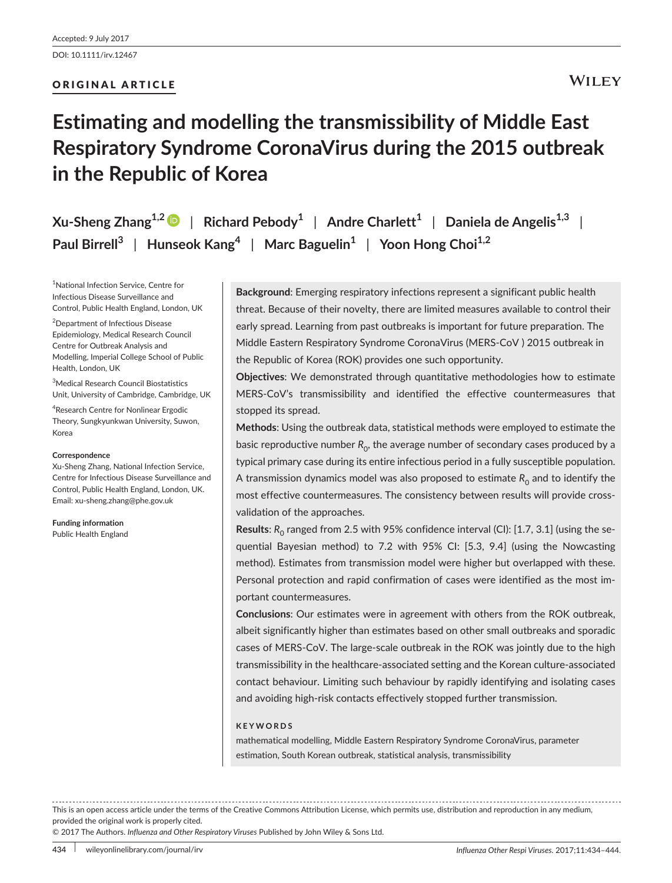# ORIGINAL ARTICLE

# **Estimating and modelling the transmissibility of Middle East Respiratory Syndrome CoronaVirus during the 2015 outbreak in the Republic of Korea**

**Xu-Sheng Zhang1,[2](http://orcid.org/0000-0002-6596-4500)** | **Richard Pebody<sup>1</sup>** | **Andre Charlett<sup>1</sup>** | **Daniela de Angelis1,3** | **Paul Birrell<sup>3</sup>** | **Hunseok Kang<sup>4</sup>** | **Marc Baguelin<sup>1</sup>** | **Yoon Hong Choi1,2**

1 National Infection Service, Centre for Infectious Disease Surveillance and Control, Public Health England, London, UK

2 Department of Infectious Disease Epidemiology, Medical Research Council Centre for Outbreak Analysis and Modelling, Imperial College School of Public Health, London, UK

3 Medical Research Council Biostatistics Unit, University of Cambridge, Cambridge, UK

4 Research Centre for Nonlinear Ergodic Theory, Sungkyunkwan University, Suwon, Korea

#### **Correspondence**

Xu-Sheng Zhang, National Infection Service, Centre for Infectious Disease Surveillance and Control, Public Health England, London, UK. Email: [xu-sheng.zhang@phe.gov.uk](mailto:xu-sheng.zhang@phe.gov.uk)

**Funding information** Public Health England

**Background**: Emerging respiratory infections represent a significant public health threat. Because of their novelty, there are limited measures available to control their early spread. Learning from past outbreaks is important for future preparation. The Middle Eastern Respiratory Syndrome CoronaVirus (MERS-CoV ) 2015 outbreak in the Republic of Korea (ROK) provides one such opportunity.

**Objectives**: We demonstrated through quantitative methodologies how to estimate MERS-CoV's transmissibility and identified the effective countermeasures that stopped its spread.

**Methods**: Using the outbreak data, statistical methods were employed to estimate the basic reproductive number  $R_0$ , the average number of secondary cases produced by a typical primary case during its entire infectious period in a fully susceptible population. A transmission dynamics model was also proposed to estimate  $R_0$  and to identify the most effective countermeasures. The consistency between results will provide crossvalidation of the approaches.

**Results:**  $R_0$  ranged from 2.5 with 95% confidence interval (CI): [1.7, 3.1] (using the sequential Bayesian method) to 7.2 with 95% CI: [5.3, 9.4] (using the Nowcasting method). Estimates from transmission model were higher but overlapped with these. Personal protection and rapid confirmation of cases were identified as the most important countermeasures.

**Conclusions**: Our estimates were in agreement with others from the ROK outbreak, albeit significantly higher than estimates based on other small outbreaks and sporadic cases of MERS-CoV. The large-scale outbreak in the ROK was jointly due to the high transmissibility in the healthcare-associated setting and the Korean culture-associated contact behaviour. Limiting such behaviour by rapidly identifying and isolating cases and avoiding high-risk contacts effectively stopped further transmission.

#### **KEYWORDS**

mathematical modelling, Middle Eastern Respiratory Syndrome CoronaVirus, parameter estimation, South Korean outbreak, statistical analysis, transmissibility

This is an open access article under the terms of the [Creative Commons Attribution](http://creativecommons.org/licenses/by/4.0/) License, which permits use, distribution and reproduction in any medium, provided the original work is properly cited.

© 2017 The Authors. *Influenza and Other Respiratory Viruses* Published by John Wiley & Sons Ltd.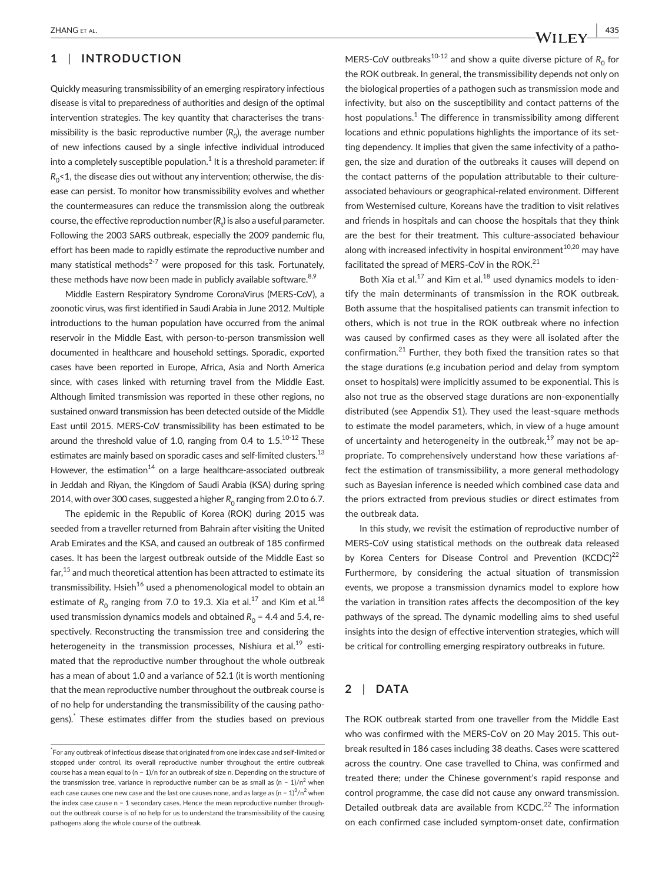# **1** | **INTRODUCTION**

Quickly measuring transmissibility of an emerging respiratory infectious disease is vital to preparedness of authorities and design of the optimal intervention strategies. The key quantity that characterises the transmissibility is the basic reproductive number  $(R_0)$ , the average number of new infections caused by a single infective individual introduced into a completely susceptible population. $^1$  It is a threshold parameter: if  $R_0$ <1, the disease dies out without any intervention; otherwise, the disease can persist. To monitor how transmissibility evolves and whether the countermeasures can reduce the transmission along the outbreak course, the effective reproduction number ( $R_{\rm t}$ ) is also a useful parameter. Following the 2003 SARS outbreak, especially the 2009 pandemic flu, effort has been made to rapidly estimate the reproductive number and many statistical methods<sup>2-7</sup> were proposed for this task. Fortunately, these methods have now been made in publicly available software.  $8,9$ 

Middle Eastern Respiratory Syndrome CoronaVirus (MERS-CoV), a zoonotic virus, was first identified in Saudi Arabia in June 2012. Multiple introductions to the human population have occurred from the animal reservoir in the Middle East, with person-to-person transmission well documented in healthcare and household settings. Sporadic, exported cases have been reported in Europe, Africa, Asia and North America since, with cases linked with returning travel from the Middle East. Although limited transmission was reported in these other regions, no sustained onward transmission has been detected outside of the Middle East until 2015. MERS-CoV transmissibility has been estimated to be around the threshold value of 1.0, ranging from 0.4 to  $1.5$ .<sup>10-12</sup> These estimates are mainly based on sporadic cases and self-limited clusters.<sup>13</sup> However, the estimation<sup>14</sup> on a large healthcare-associated outbreak in Jeddah and Riyan, the Kingdom of Saudi Arabia (KSA) during spring 2014, with over 300 cases, suggested a higher  $R_0$  ranging from 2.0 to 6.7.

The epidemic in the Republic of Korea (ROK) during 2015 was seeded from a traveller returned from Bahrain after visiting the United Arab Emirates and the KSA, and caused an outbreak of 185 confirmed cases. It has been the largest outbreak outside of the Middle East so far,15 and much theoretical attention has been attracted to estimate its transmissibility. Hsieh<sup>16</sup> used a phenomenological model to obtain an estimate of  $R_0$  ranging from 7.0 to 19.3. Xia et al.<sup>17</sup> and Kim et al.<sup>18</sup> used transmission dynamics models and obtained  $R_0 = 4.4$  and 5.4, respectively. Reconstructing the transmission tree and considering the heterogeneity in the transmission processes, Nishiura et al.<sup>19</sup> estimated that the reproductive number throughout the whole outbreak has a mean of about 1.0 and a variance of 52.1 (it is worth mentioning that the mean reproductive number throughout the outbreak course is of no help for understanding the transmissibility of the causing pathogens).\* These estimates differ from the studies based on previous MERS-CoV outbreaks<sup>10-12</sup> and show a quite diverse picture of  $R_0$  for the ROK outbreak. In general, the transmissibility depends not only on the biological properties of a pathogen such as transmission mode and infectivity, but also on the susceptibility and contact patterns of the host populations.<sup>1</sup> The difference in transmissibility among different locations and ethnic populations highlights the importance of its setting dependency. It implies that given the same infectivity of a pathogen, the size and duration of the outbreaks it causes will depend on the contact patterns of the population attributable to their cultureassociated behaviours or geographical-related environment. Different from Westernised culture, Koreans have the tradition to visit relatives and friends in hospitals and can choose the hospitals that they think are the best for their treatment. This culture-associated behaviour along with increased infectivity in hospital environment $10,20$  may have facilitated the spread of MERS-CoV in the ROK.<sup>21</sup>

Both Xia et al. $^{17}$  and Kim et al. $^{18}$  used dynamics models to identify the main determinants of transmission in the ROK outbreak. Both assume that the hospitalised patients can transmit infection to others, which is not true in the ROK outbreak where no infection was caused by confirmed cases as they were all isolated after the confirmation.21 Further, they both fixed the transition rates so that the stage durations (e.g incubation period and delay from symptom onset to hospitals) were implicitly assumed to be exponential. This is also not true as the observed stage durations are non-exponentially distributed (see Appendix S1). They used the least-square methods to estimate the model parameters, which, in view of a huge amount of uncertainty and heterogeneity in the outbreak,  $19$  may not be appropriate. To comprehensively understand how these variations affect the estimation of transmissibility, a more general methodology such as Bayesian inference is needed which combined case data and the priors extracted from previous studies or direct estimates from the outbreak data.

In this study, we revisit the estimation of reproductive number of MERS-CoV using statistical methods on the outbreak data released by Korea Centers for Disease Control and Prevention  $(KCDC)^{22}$ Furthermore, by considering the actual situation of transmission events, we propose a transmission dynamics model to explore how the variation in transition rates affects the decomposition of the key pathways of the spread. The dynamic modelling aims to shed useful insights into the design of effective intervention strategies, which will be critical for controlling emerging respiratory outbreaks in future.

# **2** | **DATA**

The ROK outbreak started from one traveller from the Middle East who was confirmed with the MERS-CoV on 20 May 2015. This outbreak resulted in 186 cases including 38 deaths. Cases were scattered across the country. One case travelled to China, was confirmed and treated there; under the Chinese government's rapid response and control programme, the case did not cause any onward transmission. Detailed outbreak data are available from KCDC.<sup>22</sup> The information on each confirmed case included symptom-onset date, confirmation

<sup>\*</sup> For any outbreak of infectious disease that originated from one index case and self-limited or stopped under control, its overall reproductive number throughout the entire outbreak course has a mean equal to (n − 1)/n for an outbreak of size n. Depending on the structure of the transmission tree, variance in reproductive number can be as small as (n – 1)/n<sup>2</sup> when each case causes one new case and the last one causes none, and as large as (n − 1) $^{3}/$ n $^{2}$  when the index case cause n − 1 secondary cases. Hence the mean reproductive number throughout the outbreak course is of no help for us to understand the transmissibility of the causing pathogens along the whole course of the outbreak.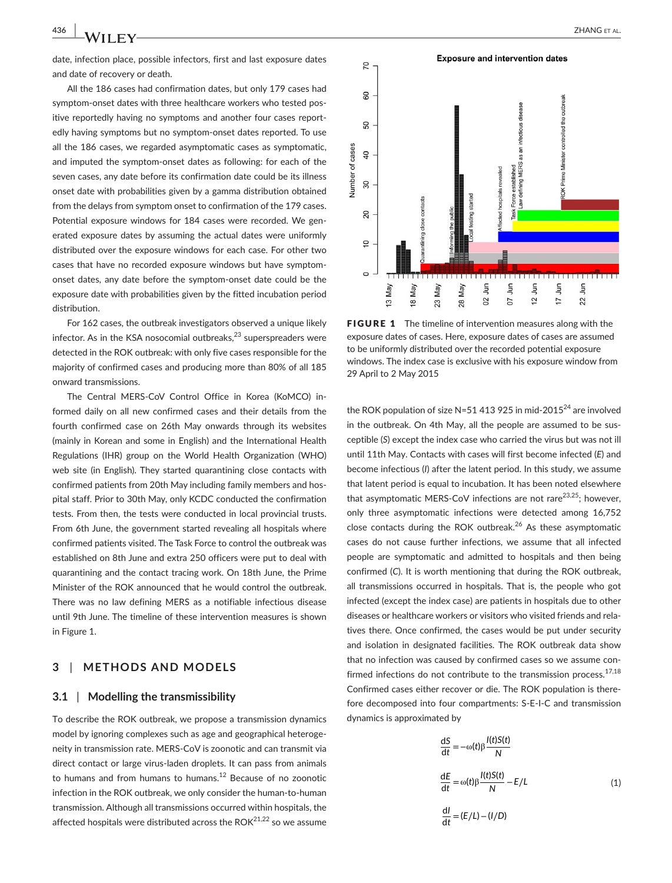date, infection place, possible infectors, first and last exposure dates and date of recovery or death.

All the 186 cases had confirmation dates, but only 179 cases had symptom-onset dates with three healthcare workers who tested positive reportedly having no symptoms and another four cases reportedly having symptoms but no symptom-onset dates reported. To use all the 186 cases, we regarded asymptomatic cases as symptomatic, and imputed the symptom-onset dates as following: for each of the seven cases, any date before its confirmation date could be its illness onset date with probabilities given by a gamma distribution obtained from the delays from symptom onset to confirmation of the 179 cases. Potential exposure windows for 184 cases were recorded. We generated exposure dates by assuming the actual dates were uniformly distributed over the exposure windows for each case. For other two cases that have no recorded exposure windows but have symptomonset dates, any date before the symptom-onset date could be the exposure date with probabilities given by the fitted incubation period distribution.

For 162 cases, the outbreak investigators observed a unique likely infector. As in the KSA nosocomial outbreaks, $23$  superspreaders were detected in the ROK outbreak: with only five cases responsible for the majority of confirmed cases and producing more than 80% of all 185 onward transmissions.

The Central MERS-CoV Control Office in Korea (KoMCO) informed daily on all new confirmed cases and their details from the fourth confirmed case on 26th May onwards through its websites (mainly in Korean and some in English) and the International Health Regulations (IHR) group on the World Health Organization (WHO) web site (in English). They started quarantining close contacts with confirmed patients from 20th May including family members and hospital staff. Prior to 30th May, only KCDC conducted the confirmation tests. From then, the tests were conducted in local provincial trusts. From 6th June, the government started revealing all hospitals where confirmed patients visited. The Task Force to control the outbreak was established on 8th June and extra 250 officers were put to deal with quarantining and the contact tracing work. On 18th June, the Prime Minister of the ROK announced that he would control the outbreak. There was no law defining MERS as a notifiable infectious disease until 9th June. The timeline of these intervention measures is shown in Figure 1.

# **3** | **METHODS AND MODELS**

#### **3.1** | **Modelling the transmissibility**

To describe the ROK outbreak, we propose a transmission dynamics model by ignoring complexes such as age and geographical heterogeneity in transmission rate. MERS-CoV is zoonotic and can transmit via direct contact or large virus-laden droplets. It can pass from animals to humans and from humans to humans. $12$  Because of no zoonotic infection in the ROK outbreak, we only consider the human-to-human transmission. Although all transmissions occurred within hospitals, the affected hospitals were distributed across the  $ROK<sup>21,22</sup>$  so we assume



**FIGURE 1** The timeline of intervention measures along with the exposure dates of cases. Here, exposure dates of cases are assumed to be uniformly distributed over the recorded potential exposure windows. The index case is exclusive with his exposure window from 29 April to 2 May 2015

the ROK population of size N=51 413 925 in mid-2015<sup>24</sup> are involved in the outbreak. On 4th May, all the people are assumed to be susceptible (*S*) except the index case who carried the virus but was not ill until 11th May. Contacts with cases will first become infected (*E*) and become infectious (*I*) after the latent period. In this study, we assume that latent period is equal to incubation. It has been noted elsewhere that asymptomatic MERS-CoV infections are not rare $^{23,25}$ ; however, only three asymptomatic infections were detected among 16,752 close contacts during the ROK outbreak.<sup>26</sup> As these asymptomatic cases do not cause further infections, we assume that all infected people are symptomatic and admitted to hospitals and then being confirmed (*C*). It is worth mentioning that during the ROK outbreak, all transmissions occurred in hospitals. That is, the people who got infected (except the index case) are patients in hospitals due to other diseases or healthcare workers or visitors who visited friends and relatives there. Once confirmed, the cases would be put under security and isolation in designated facilities. The ROK outbreak data show that no infection was caused by confirmed cases so we assume confirmed infections do not contribute to the transmission process.  $17,18$ Confirmed cases either recover or die. The ROK population is therefore decomposed into four compartments: S-E-I-C and transmission dynamics is approximated by

$$
\frac{dS}{dt} = -\omega(t)\beta \frac{I(t)S(t)}{N}
$$

$$
\frac{dE}{dt} = \omega(t)\beta \frac{I(t)S(t)}{N} - E/L
$$
(1)
$$
\frac{dl}{dt} = (E/L) - (I/D)
$$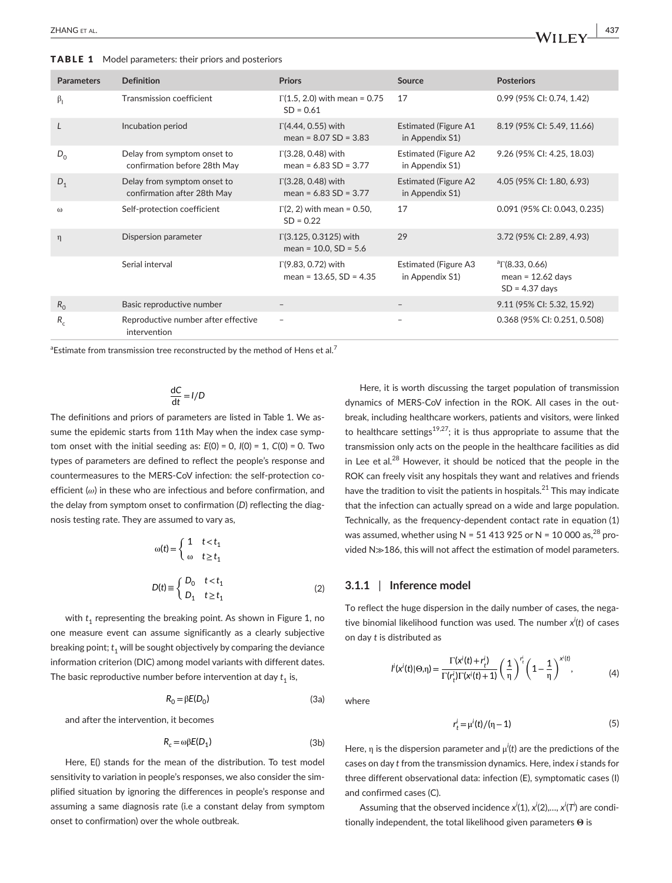TABLE 1 Model parameters: their priors and posteriors

| <b>Parameters</b> | <b>Definition</b>                                           | <b>Priors</b>                                               | <b>Source</b>                                  | <b>Posteriors</b>                                                      |
|-------------------|-------------------------------------------------------------|-------------------------------------------------------------|------------------------------------------------|------------------------------------------------------------------------|
| $\beta_1$         | Transmission coefficient                                    | $\Gamma(1.5, 2.0)$ with mean = 0.75<br>$SD = 0.61$          | 17                                             | 0.99 (95% CI: 0.74, 1.42)                                              |
| L                 | Incubation period                                           | $\Gamma$ (4.44, 0.55) with<br>mean = $8.07$ SD = $3.83$     | <b>Estimated (Figure A1</b><br>in Appendix S1) | 8.19 (95% CI: 5.49, 11.66)                                             |
| $D_{0}$           | Delay from symptom onset to<br>confirmation before 28th May | $\Gamma(3.28, 0.48)$ with<br>mean = $6.83$ SD = $3.77$      | <b>Estimated (Figure A2</b><br>in Appendix S1) | 9.26 (95% CI: 4.25, 18.03)                                             |
| $D_1$             | Delay from symptom onset to<br>confirmation after 28th May  | $\Gamma$ (3.28, 0.48) with<br>mean = $6.83$ SD = $3.77$     | <b>Estimated (Figure A2</b><br>in Appendix S1) | 4.05 (95% CI: 1.80, 6.93)                                              |
| $\omega$          | Self-protection coefficient                                 | $\Gamma(2, 2)$ with mean = 0.50,<br>$SD = 0.22$             | 17                                             | 0.091 (95% CI: 0.043, 0.235)                                           |
| η                 | Dispersion parameter                                        | $\Gamma$ (3.125, 0.3125) with<br>mean = $10.0$ , SD = $5.6$ | 29                                             | 3.72 (95% CI: 2.89, 4.93)                                              |
|                   | Serial interval                                             | $\Gamma$ (9.83, 0.72) with<br>mean = $13.65$ , SD = $4.35$  | Estimated (Figure A3<br>in Appendix S1)        | $\textdegree$ T(8.33, 0.66)<br>mean = $12.62$ days<br>$SD = 4.37$ days |
| $R_0$             | Basic reproductive number                                   |                                                             |                                                | 9.11 (95% CI: 5.32, 15.92)                                             |
| $R_c$             | Reproductive number after effective<br>intervention         | $\qquad \qquad -$                                           |                                                | 0.368 (95% CI: 0.251, 0.508)                                           |

 $^{\rm a}$ Estimate from transmission tree reconstructed by the method of Hens et al. $^7$ 

$$
\frac{\mathrm{d}C}{\mathrm{d}t} = I/D
$$

The definitions and priors of parameters are listed in Table 1. We assume the epidemic starts from 11th May when the index case symptom onset with the initial seeding as: *E*(0) = 0, *I*(0) = 1, *C*(0) = 0. Two types of parameters are defined to reflect the people's response and countermeasures to the MERS-CoV infection: the self-protection coefficient (*ω*) in these who are infectious and before confirmation, and the delay from symptom onset to confirmation (*D*) reflecting the diagnosis testing rate. They are assumed to vary as,

$$
\omega(t) = \begin{cases} 1 & t < t_1 \\ \omega & t \ge t_1 \end{cases}
$$

$$
D(t) \equiv \begin{cases} D_0 & t < t_1 \\ D_1 & t \ge t_1 \end{cases}
$$
(2)

with  $t_1$  representing the breaking point. As shown in Figure 1, no one measure event can assume significantly as a clearly subjective breaking point;  $t_1$  will be sought objectively by comparing the deviance information criterion (DIC) among model variants with different dates. The basic reproductive number before intervention at day  $t_1$  is,

$$
R_0 = \beta E(D_0) \tag{3a}
$$

and after the intervention, it becomes

$$
R_c = \omega \beta E(D_1) \tag{3b}
$$

Here, E() stands for the mean of the distribution. To test model sensitivity to variation in people's responses, we also consider the simplified situation by ignoring the differences in people's response and assuming a same diagnosis rate (i.e a constant delay from symptom onset to confirmation) over the whole outbreak.

Here, it is worth discussing the target population of transmission dynamics of MERS-CoV infection in the ROK. All cases in the outbreak, including healthcare workers, patients and visitors, were linked to healthcare settings<sup>19,27</sup>; it is thus appropriate to assume that the transmission only acts on the people in the healthcare facilities as did in Lee et al. $^{28}$  However, it should be noticed that the people in the ROK can freely visit any hospitals they want and relatives and friends have the tradition to visit the patients in hospitals. $^{21}$  This may indicate that the infection can actually spread on a wide and large population. Technically, as the frequency-dependent contact rate in equation (1) was assumed, whether using N = 51 413 925 or N = 10 000 as, $^{28}$  provided N≫186, this will not affect the estimation of model parameters.

# **3.1.1** | **Inference model**

To reflect the huge dispersion in the daily number of cases, the negative binomial likelihood function was used. The number *x<sup>i</sup>* (*t*) of cases on day *t* is distributed as

$$
I^i(x^i(t)|\Theta,\eta) = \frac{\Gamma(x^i(t) + r_t^i)}{\Gamma(r_t^i)\Gamma(x^i(t) + 1)} \left(\frac{1}{\eta}\right)^{r_t^i} \left(1 - \frac{1}{\eta}\right)^{x^i(t)},\tag{4}
$$

where

$$
r_t^i = \mu^i(t) / (\eta - 1)
$$
 (5)

Here,  $\eta$  is the dispersion parameter and  $\mu'(t)$  are the predictions of the cases on day *t* from the transmission dynamics. Here, index *i* stands for three different observational data: infection (E), symptomatic cases (I) and confirmed cases (C).

Assuming that the observed incidence *x<sup>i</sup>* (1), *xi* (2),…, *xi* (*Ti* ) are conditionally independent, the total likelihood given parameters **Θ** is

 **|** ZHANG et al. **437**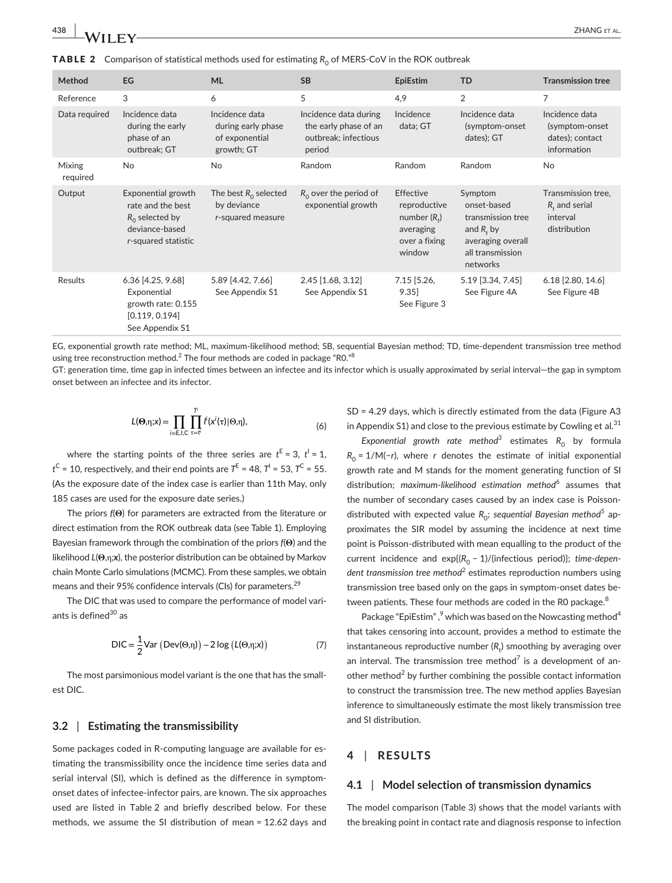**TABLE 2** Comparison of statistical methods used for estimating  $R_0$  of MERS-CoV in the ROK outbreak

| Method                    | EG                                                                                                    | <b>ML</b>                                                            | <b>SB</b>                                                                        | <b>EpiEstim</b>                                                                    | TD                                                                                                               | <b>Transmission tree</b>                                           |
|---------------------------|-------------------------------------------------------------------------------------------------------|----------------------------------------------------------------------|----------------------------------------------------------------------------------|------------------------------------------------------------------------------------|------------------------------------------------------------------------------------------------------------------|--------------------------------------------------------------------|
| Reference                 | 3                                                                                                     | 6                                                                    | 5                                                                                | 4,9                                                                                | 2                                                                                                                | 7                                                                  |
| Data required             | Incidence data<br>during the early<br>phase of an<br>outbreak; GT                                     | Incidence data<br>during early phase<br>of exponential<br>growth; GT | Incidence data during<br>the early phase of an<br>outbreak; infectious<br>period | Incidence<br>data; GT                                                              | Incidence data<br>(symptom-onset<br>dates); GT                                                                   | Incidence data<br>(symptom-onset<br>dates); contact<br>information |
| <b>Mixing</b><br>required | No                                                                                                    | <b>No</b>                                                            | Random                                                                           | Random                                                                             | Random                                                                                                           | <b>No</b>                                                          |
| Output                    | Exponential growth<br>rate and the best<br>$R_0$ selected by<br>deviance-based<br>r-squared statistic | The best $R_0$ selected<br>by deviance<br>r-squared measure          | $R_0$ over the period of<br>exponential growth                                   | Effective<br>reproductive<br>number $(Ri)$<br>averaging<br>over a fixing<br>window | Symptom<br>onset-based<br>transmission tree<br>and $R_t$ by<br>averaging overall<br>all transmission<br>networks | Transmission tree,<br>$R_t$ and serial<br>interval<br>distribution |
| Results                   | 6.36 [4.25, 9.68]<br>Exponential<br>growth rate: 0.155<br>[0.119, 0.194]<br>See Appendix S1           | 5.89 [4.42, 7.66]<br>See Appendix S1                                 | $2.45$ [1.68, 3.12]<br>See Appendix S1                                           | $7.15$ [5.26,<br>9.35<br>See Figure 3                                              | 5.19 [3.34, 7.45]<br>See Figure 4A                                                                               | 6.18 [2.80, 14.6]<br>See Figure 4B                                 |

EG, exponential growth rate method; ML, maximum-likelihood method; SB, sequential Bayesian method; TD, time-dependent transmission tree method using tree reconstruction method. $^2$  The four methods are coded in package "R0." $^8$ 

GT: generation time, time gap in infected times between an infectee and its infector which is usually approximated by serial interval—the gap in symptom onset between an infectee and its infector.

$$
L(\Theta,\eta;x) = \prod_{i=E,l,C} \prod_{\tau=l'}^{T'} l^i(x^i(\tau)|\Theta,\eta), \qquad (6)
$$

where the starting points of the three series are  $t^E = 3$ ,  $t^i = 1$ ,  $t^C$  = 10, respectively, and their end points are  $T^E$  = 48,  $T^I$  = 53,  $T^C$  = 55. (As the exposure date of the index case is earlier than 11th May, only 185 cases are used for the exposure date series.)

The priors *f*(**Θ**) for parameters are extracted from the literature or direct estimation from the ROK outbreak data (see Table 1). Employing Bayesian framework through the combination of the priors *f*(**Θ**) and the likelihood *L*(**Θ**,η*;x*), the posterior distribution can be obtained by Markov chain Monte Carlo simulations (MCMC). From these samples, we obtain means and their 95% confidence intervals (CIs) for parameters.<sup>29</sup>

The DIC that was used to compare the performance of model variants is defined $30$  as

$$
DIC = \frac{1}{2} \text{Var} \left( \text{Dev}(\Theta, \eta) \right) - 2 \log \left( L(\Theta, \eta; x) \right) \tag{7}
$$

The most parsimonious model variant is the one that has the smallest DIC.

#### **3.2** | **Estimating the transmissibility**

Some packages coded in R-computing language are available for estimating the transmissibility once the incidence time series data and serial interval (SI), which is defined as the difference in symptomonset dates of infectee-infector pairs, are known. The six approaches used are listed in Table 2 and briefly described below. For these methods, we assume the SI distribution of mean = 12.62 days and

SD = 4.29 days, which is directly estimated from the data (Figure A3 in Appendix S1) and close to the previous estimate by Cowling et al. $31$ 

Exponential growth rate method<sup>3</sup> estimates R<sub>0</sub> by formula  $R_0 = 1/M(-r)$ , where *r* denotes the estimate of initial exponential growth rate and M stands for the moment generating function of SI distribution; *maximum-likelihood estimation method*<sup>6</sup> assumes that the number of secondary cases caused by an index case is Poissondistributed with expected value R<sub>0</sub>; *sequential Bayesian method<sup>5</sup> a*pproximates the SIR model by assuming the incidence at next time point is Poisson-distributed with mean equalling to the product of the current incidence and exp{(R<sub>0</sub> − 1)/(infectious period)}; time-dependent transmission tree method<sup>2</sup> estimates reproduction numbers using transmission tree based only on the gaps in symptom-onset dates between patients. These four methods are coded in the RO package.<sup>8</sup>

Package "EpiEstim", <sup>9</sup> which was based on the Nowcasting method<sup>4</sup> that takes censoring into account, provides a method to estimate the instantaneous reproductive number ( $R^{}_{\! t}$ ) smoothing by averaging over an interval. The transmission tree method<sup>7</sup> is a development of another method<sup>2</sup> by further combining the possible contact information to construct the transmission tree. The new method applies Bayesian inference to simultaneously estimate the most likely transmission tree and SI distribution.

## **4** | **RESULTS**

#### **4.1** | **Model selection of transmission dynamics**

The model comparison (Table 3) shows that the model variants with the breaking point in contact rate and diagnosis response to infection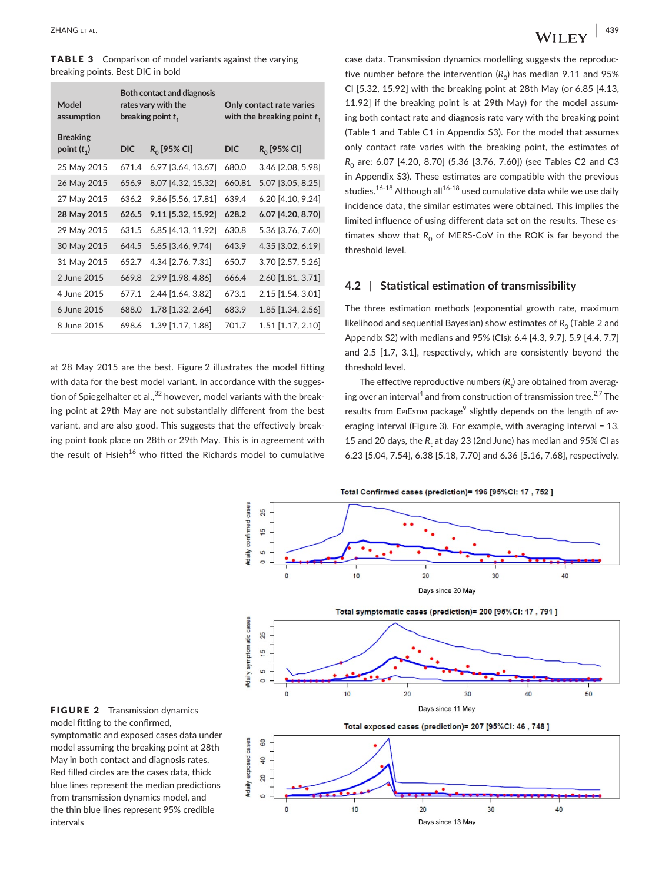TABLE 3 Comparison of model variants against the varying breaking points. Best DIC in bold

| Model<br>assumption              | Both contact and diagnosis<br>rates vary with the<br>breaking point $t_1$ |                    | Only contact rate varies<br>with the breaking point $t_1$ |                   |  |
|----------------------------------|---------------------------------------------------------------------------|--------------------|-----------------------------------------------------------|-------------------|--|
| <b>Breaking</b><br>point $(t_1)$ | DIC                                                                       | $R_0$ [95% CI]     | DIC                                                       | $R_0$ [95% CI]    |  |
| 25 May 2015                      | 671.4                                                                     | 6.97 [3.64, 13.67] | 680.0                                                     | 3.46 [2.08, 5.98] |  |
| 26 May 2015                      | 656.9                                                                     | 8.07 [4.32, 15.32] | 660.81                                                    | 5.07 [3.05, 8.25] |  |
| 27 May 2015                      | 636.2                                                                     | 9.86 [5.56, 17.81] | 639.4                                                     | 6.20 [4.10, 9.24] |  |
| 28 May 2015                      | 626.5                                                                     | 9.11 [5.32, 15.92] | 628.2                                                     | 6.07 [4.20, 8.70] |  |
| 29 May 2015                      | 631.5                                                                     | 6.85 [4.13, 11.92] | 630.8                                                     | 5.36 [3.76, 7.60] |  |
| 30 May 2015                      | 644.5                                                                     | 5.65 [3.46, 9.74]  | 643.9                                                     | 4.35 [3.02, 6.19] |  |
| 31 May 2015                      | 652.7                                                                     | 4.34 [2.76, 7.31]  | 650.7                                                     | 3.70 [2.57, 5.26] |  |
| 2 June 2015                      | 669.8                                                                     | 2.99 [1.98, 4.86]  | 666.4                                                     | 2.60 [1.81, 3.71] |  |
| 4 June 2015                      | 677.1                                                                     | 2.44 [1.64, 3.82]  | 673.1                                                     | 2.15 [1.54, 3.01] |  |
| 6 June 2015                      | 688.0                                                                     | 1.78 [1.32, 2.64]  | 683.9                                                     | 1.85 [1.34, 2.56] |  |
| 8 June 2015                      | 698.6                                                                     | 1.39 [1.17, 1.88]  | 701.7                                                     | 1.51 [1.17, 2.10] |  |
|                                  |                                                                           |                    |                                                           |                   |  |

at 28 May 2015 are the best. Figure 2 illustrates the model fitting with data for the best model variant. In accordance with the suggestion of Spiegelhalter et al., $32$  however, model variants with the breaking point at 29th May are not substantially different from the best variant, and are also good. This suggests that the effectively breaking point took place on 28th or 29th May. This is in agreement with the result of  $H$ sieh<sup>16</sup> who fitted the Richards model to cumulative case data. Transmission dynamics modelling suggests the reproductive number before the intervention  $(R_0)$  has median 9.11 and 95% CI [5.32, 15.92] with the breaking point at 28th May (or 6.85 [4.13, 11.92] if the breaking point is at 29th May) for the model assuming both contact rate and diagnosis rate vary with the breaking point (Table 1 and Table C1 in Appendix S3). For the model that assumes only contact rate varies with the breaking point, the estimates of *R*<sub>0</sub> are: 6.07 [4.20, 8.70] (5.36 [3.76, 7.60]) (see Tables C2 and C3 in Appendix S3). These estimates are compatible with the previous studies.<sup>16-18</sup> Although all<sup>16-18</sup> used cumulative data while we use daily incidence data, the similar estimates were obtained. This implies the limited influence of using different data set on the results. These estimates show that  $R_0$  of MERS-CoV in the ROK is far beyond the threshold level.

# **4.2** | **Statistical estimation of transmissibility**

The three estimation methods (exponential growth rate, maximum likelihood and sequential Bayesian) show estimates of  $R_0$  (Table 2 and Appendix S2) with medians and 95% (CIs): 6.4 [4.3, 9.7], 5.9 [4.4, 7.7] and 2.5 [1.7, 3.1], respectively, which are consistently beyond the threshold level.

The effective reproductive numbers ( $R_{\rm t}$ ) are obtained from averaging over an interval<sup>4</sup> and from construction of transmission tree.<sup>2,7</sup> The results from EPIEsTIM package<sup>9</sup> slightly depends on the length of averaging interval (Figure 3). For example, with averaging interval = 13, 15 and 20 days, the  $R_{\rm t}$  at day 23 (2nd June) has median and 95% CI as 6.23 [5.04, 7.54], 6.38 [5.18, 7.70] and 6.36 [5.16, 7.68], respectively.

Total Confirmed cases (prediction)= 196 [95%CI: 17, 752]



FIGURE 2 Transmission dynamics model fitting to the confirmed, symptomatic and exposed cases data under model assuming the breaking point at 28th May in both contact and diagnosis rates. Red filled circles are the cases data, thick blue lines represent the median predictions from transmission dynamics model, and the thin blue lines represent 95% credible intervals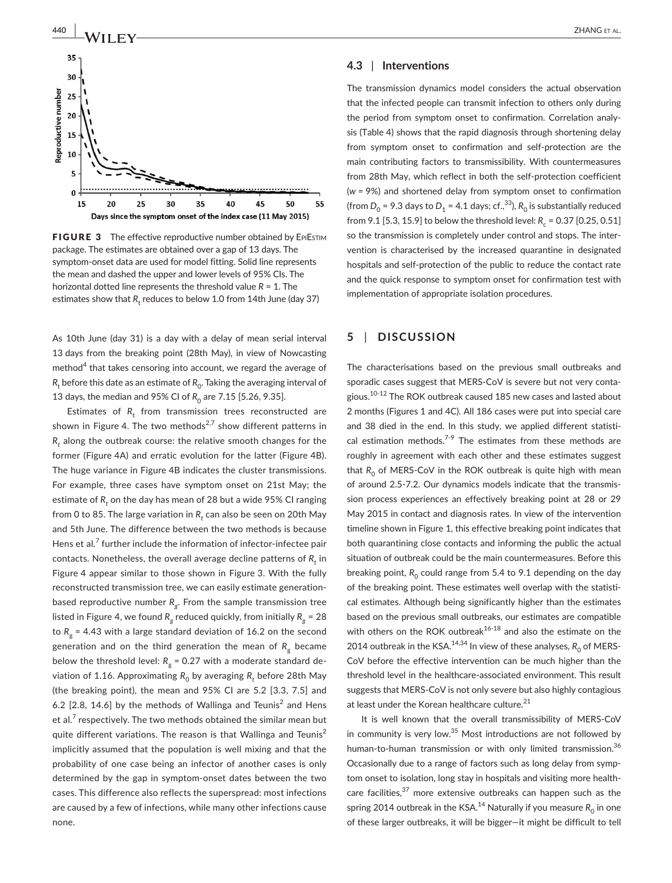

40

45

50

55

Reproductive number

15

20

FIGURE 3 The effective reproductive number obtained by EPIESTIM package. The estimates are obtained over a gap of 13 days. The symptom-onset data are used for model fitting. Solid line represents the mean and dashed the upper and lower levels of 95% CIs. The horizontal dotted line represents the threshold value *R* = 1. The estimates show that  $R_{\rm t}$  reduces to below 1.0 from 14th June (day 37)

35

Days since the symptom onset of the index case (11 May 2015)

25

30

As 10th June (day 31) is a day with a delay of mean serial interval 13 days from the breaking point (28th May), in view of Nowcasting method $^4$  that takes censoring into account, we regard the average of  $R_{\rm t}$  before this date as an estimate of  $R_{\rm 0}$ . Taking the averaging interval of 13 days, the median and 95% CI of  $R_0$  are 7.15 [5.26, 9.35].

Estimates of  $R_{\rm t}$  from transmission trees reconstructed are shown in Figure 4. The two methods<sup>2,7</sup> show different patterns in  $R^{\phantom{\dagger}}_t$  along the outbreak course: the relative smooth changes for the former (Figure 4A) and erratic evolution for the latter (Figure 4B). The huge variance in Figure 4B indicates the cluster transmissions. For example, three cases have symptom onset on 21st May; the estimate of  $R^{}_{t}$  on the day has mean of 28 but a wide 95% CI ranging from 0 to 85. The large variation in  $R^{\phantom{\dagger}}_t$  can also be seen on 20th May and 5th June. The difference between the two methods is because Hens et al.<sup>7</sup> further include the information of infector-infectee pair contacts. Nonetheless, the overall average decline patterns of  $R^{\phantom{\dagger}}_t$  in Figure 4 appear similar to those shown in Figure 3. With the fully reconstructed transmission tree, we can easily estimate generationbased reproductive number *Rg*. From the sample transmission tree listed in Figure 4, we found  $R_g$  reduced quickly, from initially  $R_g = 28$ to  $R_g$  = 4.43 with a large standard deviation of 16.2 on the second generation and on the third generation the mean of  $R<sub>a</sub>$  became below the threshold level:  $R_g$  = 0.27 with a moderate standard deviation of 1.16. Approximating  $R^{\,}_{0}$  by averaging  $R^{\,}_{t}$  before 28th May (the breaking point), the mean and 95% CI are 5.2 [3.3, 7.5] and 6.2  $[2.8, 14.6]$  by the methods of Wallinga and Teunis<sup>2</sup> and Hens et al. $^7$  respectively. The two methods obtained the similar mean but quite different variations. The reason is that Wallinga and Teunis<sup>2</sup> implicitly assumed that the population is well mixing and that the probability of one case being an infector of another cases is only determined by the gap in symptom-onset dates between the two cases. This difference also reflects the superspread: most infections are caused by a few of infections, while many other infections cause none.

#### **4.3** | **Interventions**

The transmission dynamics model considers the actual observation that the infected people can transmit infection to others only during the period from symptom onset to confirmation. Correlation analysis (Table 4) shows that the rapid diagnosis through shortening delay from symptom onset to confirmation and self-protection are the main contributing factors to transmissibility. With countermeasures from 28th May, which reflect in both the self-protection coefficient (*w* = 9%) and shortened delay from symptom onset to confirmation (from  $D_0$  = 9.3 days to  $D_1$  = 4.1 days; cf.,<sup>33</sup>),  $R_0$  is substantially reduced from 9.1 [5.3, 15.9] to below the threshold level:  $R_c = 0.37$  [0.25, 0.51] so the transmission is completely under control and stops. The intervention is characterised by the increased quarantine in designated hospitals and self-protection of the public to reduce the contact rate and the quick response to symptom onset for confirmation test with implementation of appropriate isolation procedures.

# **5** | **DISCUSSION**

The characterisations based on the previous small outbreaks and sporadic cases suggest that MERS-CoV is severe but not very contagious.<sup>10-12</sup> The ROK outbreak caused 185 new cases and lasted about 2 months (Figures 1 and 4C). All 186 cases were put into special care and 38 died in the end. In this study, we applied different statistical estimation methods.<sup>7-9</sup> The estimates from these methods are roughly in agreement with each other and these estimates suggest that R<sub>0</sub> of MERS-CoV in the ROK outbreak is quite high with mean of around 2.5-7.2. Our dynamics models indicate that the transmission process experiences an effectively breaking point at 28 or 29 May 2015 in contact and diagnosis rates. In view of the intervention timeline shown in Figure 1, this effective breaking point indicates that both quarantining close contacts and informing the public the actual situation of outbreak could be the main countermeasures. Before this breaking point,  $R_0$  could range from 5.4 to 9.1 depending on the day of the breaking point. These estimates well overlap with the statistical estimates. Although being significantly higher than the estimates based on the previous small outbreaks, our estimates are compatible with others on the ROK outbreak $16-18$  and also the estimate on the 2014 outbreak in the KSA.<sup>14,34</sup> In view of these analyses,  $R_0$  of MERS-CoV before the effective intervention can be much higher than the threshold level in the healthcare-associated environment. This result suggests that MERS-CoV is not only severe but also highly contagious at least under the Korean healthcare culture.<sup>21</sup>

It is well known that the overall transmissibility of MERS-CoV in community is very low. $35$  Most introductions are not followed by human-to-human transmission or with only limited transmission.<sup>36</sup> Occasionally due to a range of factors such as long delay from symptom onset to isolation, long stay in hospitals and visiting more healthcare facilities, $37$  more extensive outbreaks can happen such as the spring 2014 outbreak in the KSA.<sup>14</sup> Naturally if you measure  $R_0$  in one of these larger outbreaks, it will be bigger—it might be difficult to tell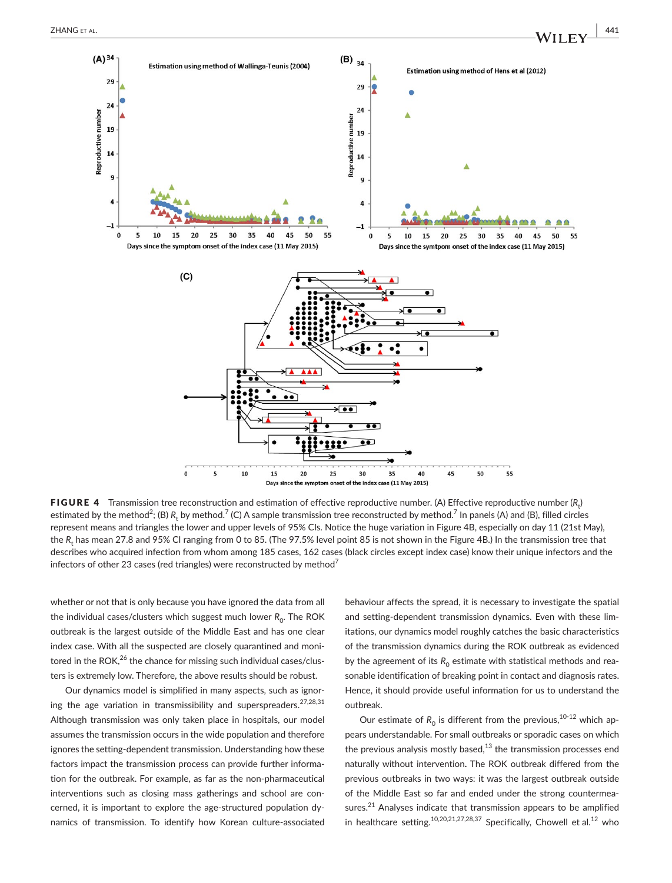



<code>FIGURE 4</code> Transmission tree reconstruction and estimation of effective reproductive number. (A) Effective reproductive number ( $R_t$ ) estimated by the method<sup>2</sup>; (B) R<sub>t</sub> by method.<sup>7</sup> (C) A sample transmission tree reconstructed by method.<sup>7</sup> In panels (A) and (B), filled circles represent means and triangles the lower and upper levels of 95% CIs. Notice the huge variation in Figure 4B, especially on day 11 (21st May), the  $R_{\rm t}$  has mean 27.8 and 95% CI ranging from 0 to 85. (The 97.5% level point 85 is not shown in the Figure 4B.) In the transmission tree that describes who acquired infection from whom among 185 cases, 162 cases (black circles except index case) know their unique infectors and the infectors of other 23 cases (red triangles) were reconstructed by method<sup>7</sup>

whether or not that is only because you have ignored the data from all the individual cases/clusters which suggest much lower R<sub>0</sub>. The ROK outbreak is the largest outside of the Middle East and has one clear index case. With all the suspected are closely quarantined and monitored in the ROK, $^{26}$  the chance for missing such individual cases/clusters is extremely low. Therefore, the above results should be robust.

Our dynamics model is simplified in many aspects, such as ignoring the age variation in transmissibility and superspreaders.<sup>27,28,31</sup> Although transmission was only taken place in hospitals, our model assumes the transmission occurs in the wide population and therefore ignores the setting-dependent transmission. Understanding how these factors impact the transmission process can provide further information for the outbreak. For example, as far as the non-pharmaceutical interventions such as closing mass gatherings and school are concerned, it is important to explore the age-structured population dynamics of transmission. To identify how Korean culture-associated behaviour affects the spread, it is necessary to investigate the spatial and setting-dependent transmission dynamics. Even with these limitations, our dynamics model roughly catches the basic characteristics of the transmission dynamics during the ROK outbreak as evidenced by the agreement of its  $R_0$  estimate with statistical methods and reasonable identification of breaking point in contact and diagnosis rates. Hence, it should provide useful information for us to understand the outbreak.

Our estimate of  $R_0$  is different from the previous,<sup>10-12</sup> which appears understandable. For small outbreaks or sporadic cases on which the previous analysis mostly based, $13$  the transmission processes end naturally without intervention**.** The ROK outbreak differed from the previous outbreaks in two ways: it was the largest outbreak outside of the Middle East so far and ended under the strong countermeasures.<sup>21</sup> Analyses indicate that transmission appears to be amplified in healthcare setting.<sup>10,20,21,27,28,37</sup> Specifically, Chowell et al.<sup>12</sup> who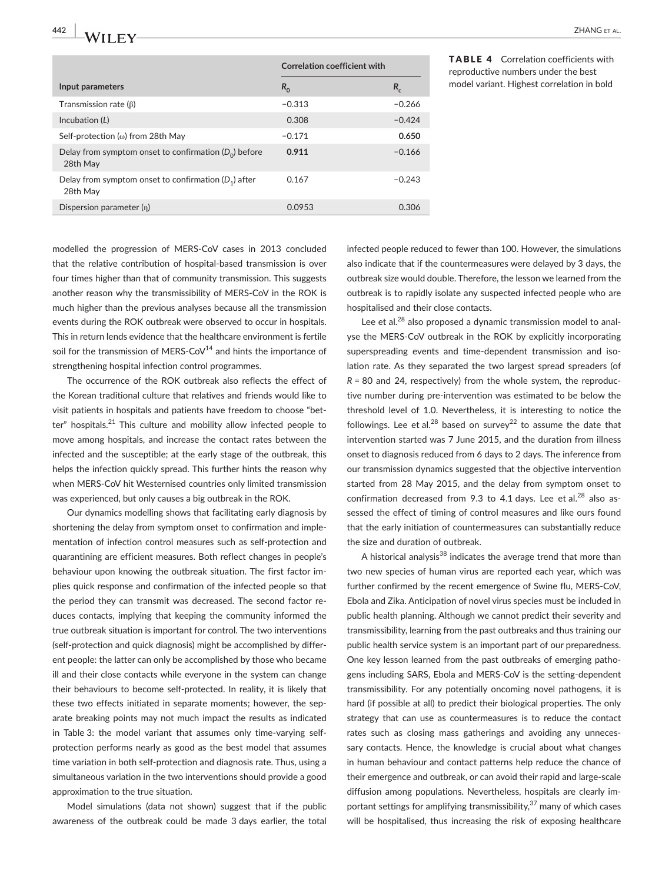**442 |**  ZHANG et al.

|                                                                     | <b>Correlation coefficient with</b> |          |
|---------------------------------------------------------------------|-------------------------------------|----------|
| Input parameters                                                    | $R_0$                               | $R_{c}$  |
| Transmission rate $(\beta)$                                         | $-0.313$                            | $-0.266$ |
| Incubation (L)                                                      | 0.308                               | $-0.424$ |
| Self-protection ( $\omega$ ) from 28th May                          | $-0.171$                            | 0.650    |
| Delay from symptom onset to confirmation $(D_0)$ before<br>28th May | 0.911                               | $-0.166$ |
| Delay from symptom onset to confirmation $(D_1)$ after<br>28th May  | 0.167                               | $-0.243$ |
| Dispersion parameter $(\eta)$                                       | 0.0953                              | 0.306    |

#### TABLE 4 Correlation coefficients with reproductive numbers under the best model variant. Highest correlation in bold

modelled the progression of MERS-CoV cases in 2013 concluded that the relative contribution of hospital-based transmission is over four times higher than that of community transmission. This suggests another reason why the transmissibility of MERS-CoV in the ROK is much higher than the previous analyses because all the transmission events during the ROK outbreak were observed to occur in hospitals. This in return lends evidence that the healthcare environment is fertile soil for the transmission of MERS-CoV $14$  and hints the importance of strengthening hospital infection control programmes.

The occurrence of the ROK outbreak also reflects the effect of the Korean traditional culture that relatives and friends would like to visit patients in hospitals and patients have freedom to choose "better" hospitals. $21$  This culture and mobility allow infected people to move among hospitals, and increase the contact rates between the infected and the susceptible; at the early stage of the outbreak, this helps the infection quickly spread. This further hints the reason why when MERS-CoV hit Westernised countries only limited transmission was experienced, but only causes a big outbreak in the ROK.

Our dynamics modelling shows that facilitating early diagnosis by shortening the delay from symptom onset to confirmation and implementation of infection control measures such as self-protection and quarantining are efficient measures. Both reflect changes in people's behaviour upon knowing the outbreak situation. The first factor implies quick response and confirmation of the infected people so that the period they can transmit was decreased. The second factor reduces contacts, implying that keeping the community informed the true outbreak situation is important for control. The two interventions (self-protection and quick diagnosis) might be accomplished by different people: the latter can only be accomplished by those who became ill and their close contacts while everyone in the system can change their behaviours to become self-protected. In reality, it is likely that these two effects initiated in separate moments; however, the separate breaking points may not much impact the results as indicated in Table 3: the model variant that assumes only time-varying selfprotection performs nearly as good as the best model that assumes time variation in both self-protection and diagnosis rate. Thus, using a simultaneous variation in the two interventions should provide a good approximation to the true situation.

Model simulations (data not shown) suggest that if the public awareness of the outbreak could be made 3 days earlier, the total

infected people reduced to fewer than 100. However, the simulations also indicate that if the countermeasures were delayed by 3 days, the outbreak size would double. Therefore, the lesson we learned from the outbreak is to rapidly isolate any suspected infected people who are hospitalised and their close contacts.

Lee et al.<sup>28</sup> also proposed a dynamic transmission model to analyse the MERS-CoV outbreak in the ROK by explicitly incorporating superspreading events and time-dependent transmission and isolation rate. As they separated the two largest spread spreaders (of *R* = 80 and 24, respectively) from the whole system, the reproductive number during pre-intervention was estimated to be below the threshold level of 1.0. Nevertheless, it is interesting to notice the followings. Lee et al.<sup>28</sup> based on survey<sup>22</sup> to assume the date that intervention started was 7 June 2015, and the duration from illness onset to diagnosis reduced from 6 days to 2 days. The inference from our transmission dynamics suggested that the objective intervention started from 28 May 2015, and the delay from symptom onset to confirmation decreased from 9.3 to 4.1 days. Lee et al.<sup>28</sup> also assessed the effect of timing of control measures and like ours found that the early initiation of countermeasures can substantially reduce the size and duration of outbreak.

A historical analysis<sup>38</sup> indicates the average trend that more than two new species of human virus are reported each year, which was further confirmed by the recent emergence of Swine flu, MERS-CoV, Ebola and Zika. Anticipation of novel virus species must be included in public health planning. Although we cannot predict their severity and transmissibility, learning from the past outbreaks and thus training our public health service system is an important part of our preparedness. One key lesson learned from the past outbreaks of emerging pathogens including SARS, Ebola and MERS-CoV is the setting-dependent transmissibility. For any potentially oncoming novel pathogens, it is hard (if possible at all) to predict their biological properties. The only strategy that can use as countermeasures is to reduce the contact rates such as closing mass gatherings and avoiding any unnecessary contacts. Hence, the knowledge is crucial about what changes in human behaviour and contact patterns help reduce the chance of their emergence and outbreak, or can avoid their rapid and large-scale diffusion among populations. Nevertheless, hospitals are clearly important settings for amplifying transmissibility, $37$  many of which cases will be hospitalised, thus increasing the risk of exposing healthcare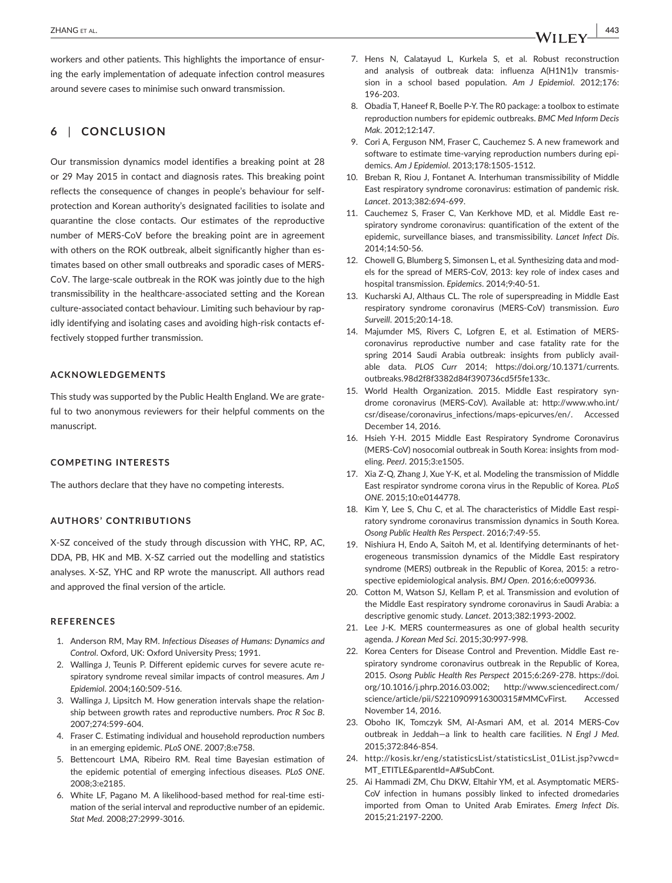workers and other patients. This highlights the importance of ensuring the early implementation of adequate infection control measures around severe cases to minimise such onward transmission.

# **6** | **CONCLUSION**

Our transmission dynamics model identifies a breaking point at 28 or 29 May 2015 in contact and diagnosis rates. This breaking point reflects the consequence of changes in people's behaviour for selfprotection and Korean authority's designated facilities to isolate and quarantine the close contacts. Our estimates of the reproductive number of MERS-CoV before the breaking point are in agreement with others on the ROK outbreak, albeit significantly higher than estimates based on other small outbreaks and sporadic cases of MERS-CoV. The large-scale outbreak in the ROK was jointly due to the high transmissibility in the healthcare-associated setting and the Korean culture-associated contact behaviour. Limiting such behaviour by rapidly identifying and isolating cases and avoiding high-risk contacts effectively stopped further transmission.

### **ACKNOWLEDGEMENTS**

This study was supported by the Public Health England. We are grateful to two anonymous reviewers for their helpful comments on the manuscript.

#### **COMPETING INTERESTS**

The authors declare that they have no competing interests.

#### **AUTHORS' CONTRIBUTIONS**

X-SZ conceived of the study through discussion with YHC, RP, AC, DDA, PB, HK and MB. X-SZ carried out the modelling and statistics analyses. X-SZ, YHC and RP wrote the manuscript. All authors read and approved the final version of the article.

#### **REFERENCES**

- 1. Anderson RM, May RM. *Infectious Diseases of Humans: Dynamics and Control*. Oxford, UK: Oxford University Press; 1991.
- 2. Wallinga J, Teunis P. Different epidemic curves for severe acute respiratory syndrome reveal similar impacts of control measures. *Am J Epidemiol*. 2004;160:509-516.
- 3. Wallinga J, Lipsitch M. How generation intervals shape the relationship between growth rates and reproductive numbers. *Proc R Soc B*. 2007;274:599-604.
- 4. Fraser C. Estimating individual and household reproduction numbers in an emerging epidemic. *PLoS ONE*. 2007;8:e758.
- 5. Bettencourt LMA, Ribeiro RM. Real time Bayesian estimation of the epidemic potential of emerging infectious diseases. *PLoS ONE*. 2008;3:e2185.
- 6. White LF, Pagano M. A likelihood-based method for real-time estimation of the serial interval and reproductive number of an epidemic. *Stat Med*. 2008;27:2999-3016.
- 8. Obadia T, Haneef R, Boelle P-Y. The R0 package: a toolbox to estimate reproduction numbers for epidemic outbreaks. *BMC Med Inform Decis Mak*. 2012;12:147.
- 9. Cori A, Ferguson NM, Fraser C, Cauchemez S. A new framework and software to estimate time-varying reproduction numbers during epidemics. *Am J Epidemiol*. 2013;178:1505-1512.
- 10. Breban R, Riou J, Fontanet A. Interhuman transmissibility of Middle East respiratory syndrome coronavirus: estimation of pandemic risk. *Lancet*. 2013;382:694-699.
- 11. Cauchemez S, Fraser C, Van Kerkhove MD, et al. Middle East respiratory syndrome coronavirus: quantification of the extent of the epidemic, surveillance biases, and transmissibility. *Lancet Infect Dis*. 2014;14:50-56.
- 12. Chowell G, Blumberg S, Simonsen L, et al. Synthesizing data and models for the spread of MERS-CoV, 2013: key role of index cases and hospital transmission. *Epidemics*. 2014;9:40-51.
- 13. Kucharski AJ, Althaus CL. The role of superspreading in Middle East respiratory syndrome coronavirus (MERS-CoV) transmission. *Euro Surveill*. 2015;20:14-18.
- 14. Majumder MS, Rivers C, Lofgren E, et al. Estimation of MERScoronavirus reproductive number and case fatality rate for the spring 2014 Saudi Arabia outbreak: insights from publicly available data. *PLOS Curr* 2014; [https://doi.org/10.1371/currents.](https://doi.org/10.1371/currents.outbreaks.98d2f8f3382d84f390736cd5f5fe133c) [outbreaks.98d2f8f3382d84f390736cd5f5fe133c.](https://doi.org/10.1371/currents.outbreaks.98d2f8f3382d84f390736cd5f5fe133c)
- 15. World Health Organization. 2015. Middle East respiratory syndrome coronavirus (MERS-CoV). Available at: [http://www.who.int/](http://www.who.int/csr/disease/coronavirus_infections/maps-epicurves/en/) [csr/disease/coronavirus\\_infections/maps-epicurves/en/.](http://www.who.int/csr/disease/coronavirus_infections/maps-epicurves/en/) Accessed December 14, 2016.
- 16. Hsieh Y-H. 2015 Middle East Respiratory Syndrome Coronavirus (MERS-CoV) nosocomial outbreak in South Korea: insights from modeling. *PeerJ*. 2015;3:e1505.
- 17. Xia Z-Q, Zhang J, Xue Y-K, et al. Modeling the transmission of Middle East respirator syndrome corona virus in the Republic of Korea. *PLoS ONE*. 2015;10:e0144778.
- 18. Kim Y, Lee S, Chu C, et al. The characteristics of Middle East respiratory syndrome coronavirus transmission dynamics in South Korea. *Osong Public Health Res Perspect*. 2016;7:49-55.
- 19. Nishiura H, Endo A, Saitoh M, et al. Identifying determinants of heterogeneous transmission dynamics of the Middle East respiratory syndrome (MERS) outbreak in the Republic of Korea, 2015: a retrospective epidemiological analysis. *BMJ Open*. 2016;6:e009936.
- 20. Cotton M, Watson SJ, Kellam P, et al. Transmission and evolution of the Middle East respiratory syndrome coronavirus in Saudi Arabia: a descriptive genomic study. *Lancet*. 2013;382:1993-2002.
- 21. Lee J-K. MERS countermeasures as one of global health security agenda. *J Korean Med Sci*. 2015;30:997-998.
- 22. Korea Centers for Disease Control and Prevention. Middle East respiratory syndrome coronavirus outbreak in the Republic of Korea, 2015. *Osong Public Health Res Perspect* 2015;6:269-278. [https://doi.](https://doi.org/10.1016/j.phrp.2016.03.002) [org/10.1016/j.phrp.2016.03.002](https://doi.org/10.1016/j.phrp.2016.03.002); [http://www.sciencedirect.com/](http://www.sciencedirect.com/science/article/pii/S2210909916300315#MMCvFirst) [science/article/pii/S2210909916300315#MMCvFirst.](http://www.sciencedirect.com/science/article/pii/S2210909916300315#MMCvFirst) Accessed November 14, 2016.
- 23. Oboho IK, Tomczyk SM, Al-Asmari AM, et al. 2014 MERS-Cov outbreak in Jeddah—a link to health care facilities. *N Engl J Med*. 2015;372:846-854.
- 24. http://kosis.kr/eng/statisticsList/statisticsList\_01List.jsp?vwcd= MT\_ETITLE&parentId=A#SubCont.
- 25. Ai Hammadi ZM, Chu DKW, Eltahir YM, et al. Asymptomatic MERS-CoV infection in humans possibly linked to infected dromedaries imported from Oman to United Arab Emirates. *Emerg Infect Dis*. 2015;21:2197-2200.